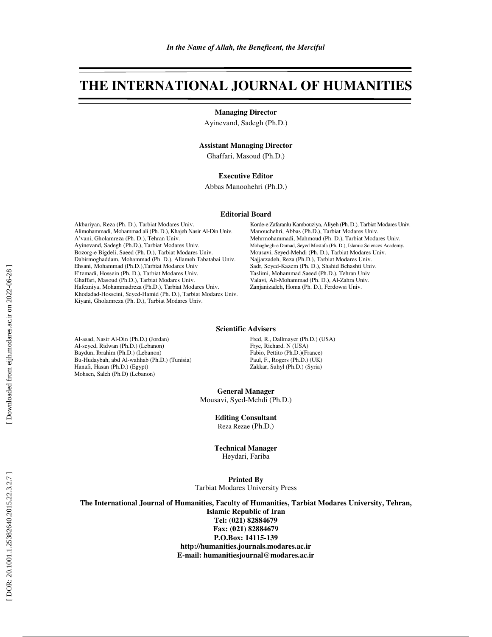# **THE INTERNATIONAL JOURNAL OF HUMANITIES**

**Managing Director** 

Ayinevand, Sadegh (Ph.D.)

## **Assistant Managing Director**

Ghaffari, Masoud (Ph.D.)

### **Executive Editor**

Abbas Manoohehri (Ph.D.)

#### **Editorial Board**

Akbariyan, Reza (Ph. D.), Tarbiat Modares Univ. Alimohammadi, Mohammad ali (Ph. D.), Khajeh Nasir Al-Din Univ. A'vani, Gholamreza (Ph. D.), Tehran Univ. Ayinevand, Sadegh (Ph.D.), Tarbiat Modares Univ. Bozorg-e Bigdeli, Saeed (Ph. D.), Tarbiat Modares Univ. Dabirmoghaddam, Mohammad (Ph. D.), Allameh Tabatabai Univ. Ehsani, Mohammad (Ph.D.),Tarbiat Modares Univ E'temadi, Hossein (Ph. D.), Tarbiat Modares Univ. Ghaffari, Masoud (Ph.D.), Tarbiat Modares Univ. Hafezniya, Mohammadreza (Ph.D.), Tarbiat Modares Univ. Khodadad-Hosseini, Seyed-Hamid (Ph. D.), Tarbiat Modares Univ. Kiyani, Gholamreza (Ph. D.), Tarbiat Modares Univ.

Korde-e Zafaranlu Kambouziya, Aliyeh (Ph. D.), Tarbiat Modares Univ. Manouchehri, Abbas (Ph.D.), Tarbiat Modares Univ. Mehrmohammadi, Mahmoud (Ph. D.), Tarbiat Modares Univ. Mohaghegh-e Damad, Seyed Mostafa (Ph. D.), Islamic Sciences Academy. Mousavi, Seyed-Mehdi (Ph. D.), Tarbiat Modares Univ. Najjarzadeh, Reza (Ph.D.), Tarbiat Modares Univ. Sadr, Seyed-Kazem (Ph. D.), Shahid Behashti Univ. Taslimi, Mohammad Saeed (Ph.D.), Tehran Univ Valavi, Ali-Mohammad (Ph. D.), Al-Zahra Univ. Zanjanizadeh, Homa (Ph. D.), Ferdowsi Univ.

#### **Scientific Advisers**

Al-asad, Nasir Al-Din (Ph.D.) (Jordan) Al-seyed, Ridwan (Ph.D.) (Lebanon) Baydun, Ibrahim (Ph.D.) (Lebanon) Bu-Hudaybah, abd Al-wahhab (Ph.D.) (Tunisia) Hanafi, Hasan (Ph.D.) (Egypt) Mohsen, Saleh (Ph.D) (Lebanon)

Fred, R., Dallmayer (Ph.D.) (USA) Frye, Richard. N (USA) Fabio, Pettito (Ph.D.)(France) Paul, F., Rogers (Ph.D.) (UK) Zakkar, Suhyl (Ph.D.) (Syria)

**General Manager**  Mousavi, Syed-Mehdi (Ph.D.)

**Editing Consultant** 

Reza Rezae (Ph.D.)

**Technical Manager** 

Heydari, Fariba

**Printed By** 

Tarbiat Modares University Press

**The International Journal of Humanities, Faculty of Humanities, Tarbiat Modares University, Tehran, Islamic Republic of Iran Tel: (021) 82884679 Fax: (021) 82884679** 

**P.O.Box: 14115-139 http://humanities.journals.modares.ac.ir E-mail: humanitiesjournal@modares.ac.ir**